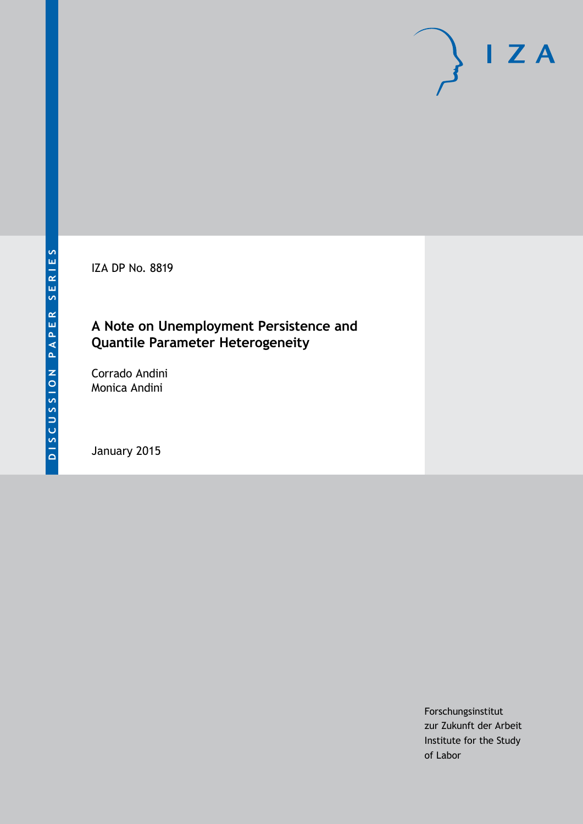IZA DP No. 8819

## **A Note on Unemployment Persistence and Quantile Parameter Heterogeneity**

Corrado Andini Monica Andini

January 2015

Forschungsinstitut zur Zukunft der Arbeit Institute for the Study of Labor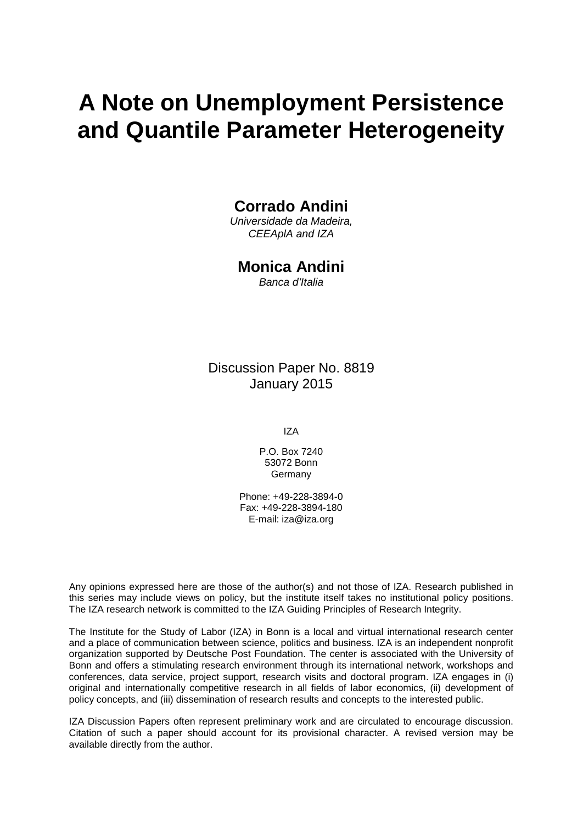# **A Note on Unemployment Persistence and Quantile Parameter Heterogeneity**

#### **Corrado Andini**

*Universidade da Madeira, CEEAplA and IZA*

#### **Monica Andini**

*Banca d'Italia*

Discussion Paper No. 8819 January 2015

IZA

P.O. Box 7240 53072 Bonn Germany

Phone: +49-228-3894-0 Fax: +49-228-3894-180 E-mail: [iza@iza.org](mailto:iza@iza.org)

Any opinions expressed here are those of the author(s) and not those of IZA. Research published in this series may include views on policy, but the institute itself takes no institutional policy positions. The IZA research network is committed to the IZA Guiding Principles of Research Integrity.

The Institute for the Study of Labor (IZA) in Bonn is a local and virtual international research center and a place of communication between science, politics and business. IZA is an independent nonprofit organization supported by Deutsche Post Foundation. The center is associated with the University of Bonn and offers a stimulating research environment through its international network, workshops and conferences, data service, project support, research visits and doctoral program. IZA engages in (i) original and internationally competitive research in all fields of labor economics, (ii) development of policy concepts, and (iii) dissemination of research results and concepts to the interested public.

<span id="page-1-0"></span>IZA Discussion Papers often represent preliminary work and are circulated to encourage discussion. Citation of such a paper should account for its provisional character. A revised version may be available directly from the author.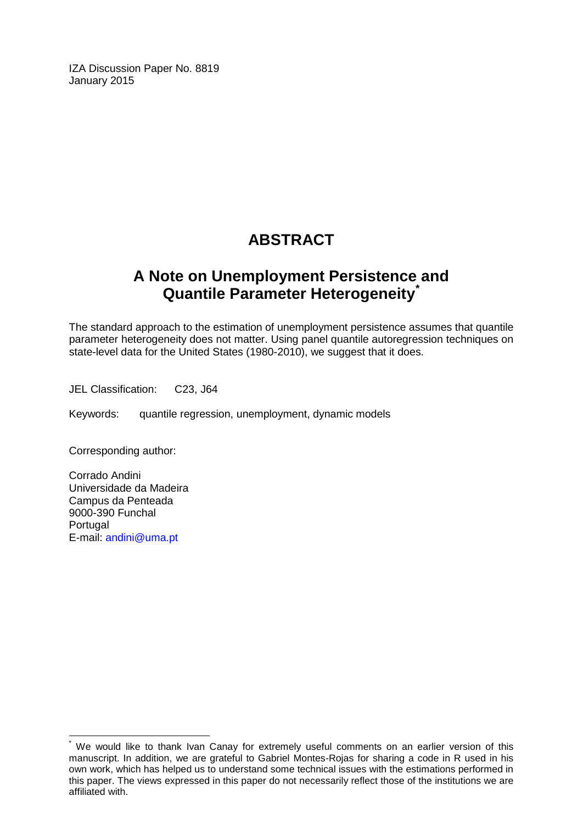IZA Discussion Paper No. 8819 January 2015

## **ABSTRACT**

## **A Note on Unemployment Persistence and Quantile Parameter Heterogeneity[\\*](#page-1-0)**

The standard approach to the estimation of unemployment persistence assumes that quantile parameter heterogeneity does not matter. Using panel quantile autoregression techniques on state-level data for the United States (1980-2010), we suggest that it does.

JEL Classification: C23, J64

Keywords: quantile regression, unemployment, dynamic models

Corresponding author:

Corrado Andini Universidade da Madeira Campus da Penteada 9000-390 Funchal Portugal E-mail: [andini@uma.pt](mailto:andini@uma.pt)

We would like to thank Ivan Canay for extremely useful comments on an earlier version of this manuscript. In addition, we are grateful to Gabriel Montes-Rojas for sharing a code in R used in his own work, which has helped us to understand some technical issues with the estimations performed in this paper. The views expressed in this paper do not necessarily reflect those of the institutions we are affiliated with.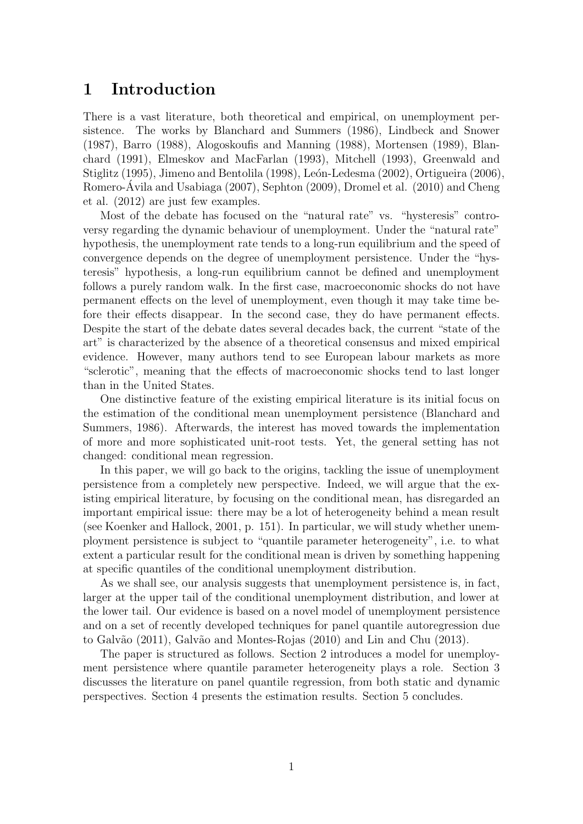### 1 Introduction

There is a vast literature, both theoretical and empirical, on unemployment persistence. The works by Blanchard and Summers (1986), Lindbeck and Snower (1987), Barro (1988), Alogoskoufis and Manning (1988), Mortensen (1989), Blanchard (1991), Elmeskov and MacFarlan (1993), Mitchell (1993), Greenwald and Stiglitz (1995), Jimeno and Bentolila (1998), León-Ledesma (2002), Ortigueira (2006), Romero-Ávila and Usabiaga (2007), Sephton (2009), Dromel et al. (2010) and Cheng et al. (2012) are just few examples.

Most of the debate has focused on the "natural rate" vs. "hysteresis" controversy regarding the dynamic behaviour of unemployment. Under the "natural rate" hypothesis, the unemployment rate tends to a long-run equilibrium and the speed of convergence depends on the degree of unemployment persistence. Under the "hysteresis" hypothesis, a long-run equilibrium cannot be defined and unemployment follows a purely random walk. In the first case, macroeconomic shocks do not have permanent effects on the level of unemployment, even though it may take time before their effects disappear. In the second case, they do have permanent effects. Despite the start of the debate dates several decades back, the current "state of the art" is characterized by the absence of a theoretical consensus and mixed empirical evidence. However, many authors tend to see European labour markets as more "sclerotic", meaning that the effects of macroeconomic shocks tend to last longer than in the United States.

One distinctive feature of the existing empirical literature is its initial focus on the estimation of the conditional mean unemployment persistence (Blanchard and Summers, 1986). Afterwards, the interest has moved towards the implementation of more and more sophisticated unit-root tests. Yet, the general setting has not changed: conditional mean regression.

In this paper, we will go back to the origins, tackling the issue of unemployment persistence from a completely new perspective. Indeed, we will argue that the existing empirical literature, by focusing on the conditional mean, has disregarded an important empirical issue: there may be a lot of heterogeneity behind a mean result (see Koenker and Hallock, 2001, p. 151). In particular, we will study whether unemployment persistence is subject to "quantile parameter heterogeneity", i.e. to what extent a particular result for the conditional mean is driven by something happening at specific quantiles of the conditional unemployment distribution.

As we shall see, our analysis suggests that unemployment persistence is, in fact, larger at the upper tail of the conditional unemployment distribution, and lower at the lower tail. Our evidence is based on a novel model of unemployment persistence and on a set of recently developed techniques for panel quantile autoregression due to Galvão (2011), Galvão and Montes-Rojas (2010) and Lin and Chu (2013).

The paper is structured as follows. Section 2 introduces a model for unemployment persistence where quantile parameter heterogeneity plays a role. Section 3 discusses the literature on panel quantile regression, from both static and dynamic perspectives. Section 4 presents the estimation results. Section 5 concludes.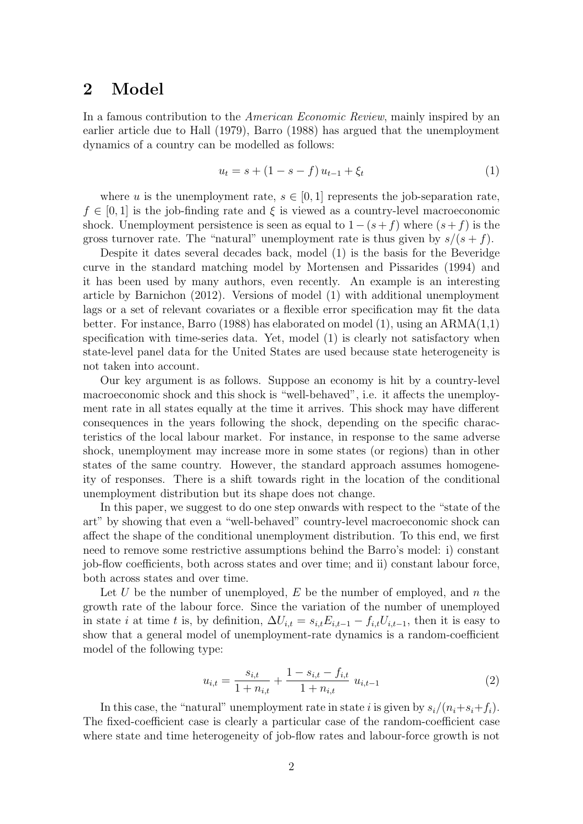#### 2 Model

In a famous contribution to the American Economic Review, mainly inspired by an earlier article due to Hall (1979), Barro (1988) has argued that the unemployment dynamics of a country can be modelled as follows:

$$
u_t = s + (1 - s - f) u_{t-1} + \xi_t
$$
\n(1)

where u is the unemployment rate,  $s \in [0,1]$  represents the job-separation rate,  $f \in [0, 1]$  is the job-finding rate and  $\xi$  is viewed as a country-level macroeconomic shock. Unemployment persistence is seen as equal to  $1-(s+f)$  where  $(s+f)$  is the gross turnover rate. The "natural" unemployment rate is thus given by  $s/(s+f)$ .

Despite it dates several decades back, model (1) is the basis for the Beveridge curve in the standard matching model by Mortensen and Pissarides (1994) and it has been used by many authors, even recently. An example is an interesting article by Barnichon (2012). Versions of model (1) with additional unemployment lags or a set of relevant covariates or a flexible error specification may fit the data better. For instance, Barro (1988) has elaborated on model (1), using an ARMA(1,1) specification with time-series data. Yet, model (1) is clearly not satisfactory when state-level panel data for the United States are used because state heterogeneity is not taken into account.

Our key argument is as follows. Suppose an economy is hit by a country-level macroeconomic shock and this shock is "well-behaved", i.e. it affects the unemployment rate in all states equally at the time it arrives. This shock may have different consequences in the years following the shock, depending on the specific characteristics of the local labour market. For instance, in response to the same adverse shock, unemployment may increase more in some states (or regions) than in other states of the same country. However, the standard approach assumes homogeneity of responses. There is a shift towards right in the location of the conditional unemployment distribution but its shape does not change.

In this paper, we suggest to do one step onwards with respect to the "state of the art" by showing that even a "well-behaved" country-level macroeconomic shock can affect the shape of the conditional unemployment distribution. To this end, we first need to remove some restrictive assumptions behind the Barro's model: i) constant job-flow coefficients, both across states and over time; and ii) constant labour force, both across states and over time.

Let U be the number of unemployed, E be the number of employed, and n the growth rate of the labour force. Since the variation of the number of unemployed in state *i* at time t is, by definition,  $\Delta U_{i,t} = s_{i,t} E_{i,t-1} - f_{i,t} U_{i,t-1}$ , then it is easy to show that a general model of unemployment-rate dynamics is a random-coefficient model of the following type:

$$
u_{i,t} = \frac{s_{i,t}}{1 + n_{i,t}} + \frac{1 - s_{i,t} - f_{i,t}}{1 + n_{i,t}} u_{i,t-1}
$$
 (2)

In this case, the "natural" unemployment rate in state i is given by  $s_i/(n_i+s_i+f_i)$ . The fixed-coefficient case is clearly a particular case of the random-coefficient case where state and time heterogeneity of job-flow rates and labour-force growth is not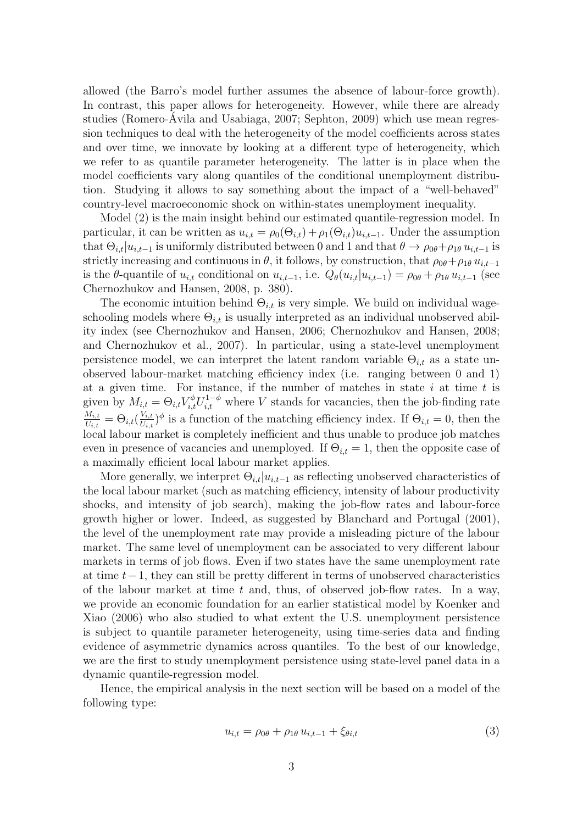allowed (the Barro's model further assumes the absence of labour-force growth). In contrast, this paper allows for heterogeneity. However, while there are already studies (Romero-Avila and Usabiaga, 2007; Sephton, 2009) which use mean regres- ´ sion techniques to deal with the heterogeneity of the model coefficients across states and over time, we innovate by looking at a different type of heterogeneity, which we refer to as quantile parameter heterogeneity. The latter is in place when the model coefficients vary along quantiles of the conditional unemployment distribution. Studying it allows to say something about the impact of a "well-behaved" country-level macroeconomic shock on within-states unemployment inequality.

Model (2) is the main insight behind our estimated quantile-regression model. In particular, it can be written as  $u_{i,t} = \rho_0(\Theta_{i,t}) + \rho_1(\Theta_{i,t})u_{i,t-1}$ . Under the assumption that  $\Theta_{i,t}|u_{i,t-1}$  is uniformly distributed between 0 and 1 and that  $\theta \to \rho_{0\theta} + \rho_{1\theta} u_{i,t-1}$  is strictly increasing and continuous in  $\theta$ , it follows, by construction, that  $\rho_{0\theta} + \rho_{1\theta} u_{i,t-1}$ is the  $\theta$ -quantile of  $u_{i,t}$  conditional on  $u_{i,t-1}$ , i.e.  $Q_{\theta}(u_{i,t}|u_{i,t-1}) = \rho_{0\theta} + \rho_{1\theta} u_{i,t-1}$  (see Chernozhukov and Hansen, 2008, p. 380).

The economic intuition behind  $\Theta_{i,t}$  is very simple. We build on individual wageschooling models where  $\Theta_{i,t}$  is usually interpreted as an individual unobserved ability index (see Chernozhukov and Hansen, 2006; Chernozhukov and Hansen, 2008; and Chernozhukov et al., 2007). In particular, using a state-level unemployment persistence model, we can interpret the latent random variable  $\Theta_{i,t}$  as a state unobserved labour-market matching efficiency index (i.e. ranging between 0 and 1) at a given time. For instance, if the number of matches in state  $i$  at time  $t$  is given by  $M_{i,t} = \Theta_{i,t} V_{i,t}^{\phi} U_{i,t}^{1-\phi}$  where V stands for vacancies, then the job-finding rate  $M_{i,t}$  $\frac{M_{i,t}}{U_{i,t}} = \Theta_{i,t}(\frac{V_{i,t}}{U_{i,t}})$  $\frac{V_{i,t}}{U_{i,t}}\rangle^{\phi}$  is a function of the matching efficiency index. If  $\Theta_{i,t} = 0$ , then the local labour market is completely inefficient and thus unable to produce job matches even in presence of vacancies and unemployed. If  $\Theta_{i,t} = 1$ , then the opposite case of a maximally efficient local labour market applies.

More generally, we interpret  $\Theta_{i,t}|u_{i,t-1}$  as reflecting unobserved characteristics of the local labour market (such as matching efficiency, intensity of labour productivity shocks, and intensity of job search), making the job-flow rates and labour-force growth higher or lower. Indeed, as suggested by Blanchard and Portugal (2001), the level of the unemployment rate may provide a misleading picture of the labour market. The same level of unemployment can be associated to very different labour markets in terms of job flows. Even if two states have the same unemployment rate at time  $t-1$ , they can still be pretty different in terms of unobserved characteristics of the labour market at time t and, thus, of observed job-flow rates. In a way, we provide an economic foundation for an earlier statistical model by Koenker and Xiao (2006) who also studied to what extent the U.S. unemployment persistence is subject to quantile parameter heterogeneity, using time-series data and finding evidence of asymmetric dynamics across quantiles. To the best of our knowledge, we are the first to study unemployment persistence using state-level panel data in a dynamic quantile-regression model.

Hence, the empirical analysis in the next section will be based on a model of the following type:

$$
u_{i,t} = \rho_{0\theta} + \rho_{1\theta} u_{i,t-1} + \xi_{\theta i,t}
$$
 (3)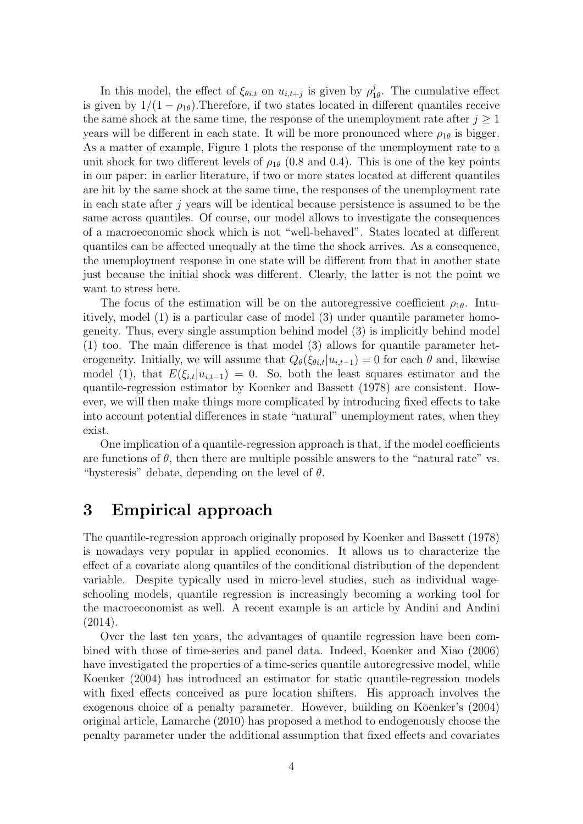In this model, the effect of  $\xi_{\theta i,t}$  on  $u_{i,t+j}$  is given by  $\rho_1^j$  $T_{1\theta}^j$ . The cumulative effect is given by  $1/(1 - \rho_{1\theta})$ . Therefore, if two states located in different quantiles receive the same shock at the same time, the response of the unemployment rate after  $j \geq 1$ years will be different in each state. It will be more pronounced where  $\rho_{1\theta}$  is bigger. As a matter of example, Figure 1 plots the response of the unemployment rate to a unit shock for two different levels of  $\rho_{1\theta}$  (0.8 and 0.4). This is one of the key points in our paper: in earlier literature, if two or more states located at different quantiles are hit by the same shock at the same time, the responses of the unemployment rate in each state after  $j$  years will be identical because persistence is assumed to be the same across quantiles. Of course, our model allows to investigate the consequences of a macroeconomic shock which is not "well-behaved". States located at different quantiles can be affected unequally at the time the shock arrives. As a consequence, the unemployment response in one state will be different from that in another state just because the initial shock was different. Clearly, the latter is not the point we want to stress here.

The focus of the estimation will be on the autoregressive coefficient  $\rho_{1\theta}$ . Intuitively, model (1) is a particular case of model (3) under quantile parameter homogeneity. Thus, every single assumption behind model (3) is implicitly behind model (1) too. The main difference is that model (3) allows for quantile parameter heterogeneity. Initially, we will assume that  $Q_{\theta}(\xi_{\theta i,t}|u_{i,t-1}) = 0$  for each  $\theta$  and, likewise model (1), that  $E(\xi_{i,t}|u_{i,t-1}) = 0$ . So, both the least squares estimator and the quantile-regression estimator by Koenker and Bassett (1978) are consistent. However, we will then make things more complicated by introducing fixed effects to take into account potential differences in state "natural" unemployment rates, when they exist.

One implication of a quantile-regression approach is that, if the model coefficients are functions of  $\theta$ , then there are multiple possible answers to the "natural rate" vs. "hysteresis" debate, depending on the level of  $\theta$ .

#### 3 Empirical approach

The quantile-regression approach originally proposed by Koenker and Bassett (1978) is nowadays very popular in applied economics. It allows us to characterize the effect of a covariate along quantiles of the conditional distribution of the dependent variable. Despite typically used in micro-level studies, such as individual wageschooling models, quantile regression is increasingly becoming a working tool for the macroeconomist as well. A recent example is an article by Andini and Andini (2014).

Over the last ten years, the advantages of quantile regression have been combined with those of time-series and panel data. Indeed, Koenker and Xiao (2006) have investigated the properties of a time-series quantile autoregressive model, while Koenker (2004) has introduced an estimator for static quantile-regression models with fixed effects conceived as pure location shifters. His approach involves the exogenous choice of a penalty parameter. However, building on Koenker's (2004) original article, Lamarche (2010) has proposed a method to endogenously choose the penalty parameter under the additional assumption that fixed effects and covariates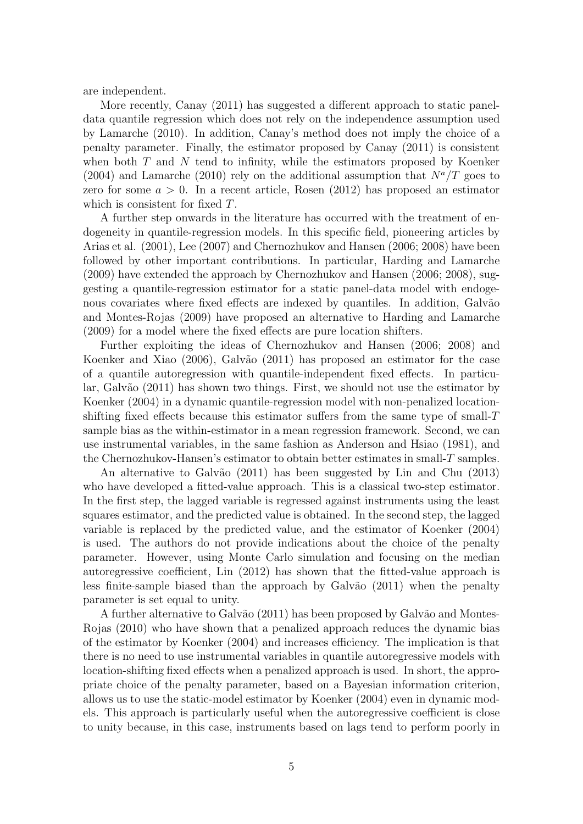are independent.

More recently, Canay (2011) has suggested a different approach to static paneldata quantile regression which does not rely on the independence assumption used by Lamarche (2010). In addition, Canay's method does not imply the choice of a penalty parameter. Finally, the estimator proposed by Canay (2011) is consistent when both  $T$  and  $N$  tend to infinity, while the estimators proposed by Koenker (2004) and Lamarche (2010) rely on the additional assumption that  $N^a/T$  goes to zero for some  $a > 0$ . In a recent article, Rosen (2012) has proposed an estimator which is consistent for fixed T.

A further step onwards in the literature has occurred with the treatment of endogeneity in quantile-regression models. In this specific field, pioneering articles by Arias et al. (2001), Lee (2007) and Chernozhukov and Hansen (2006; 2008) have been followed by other important contributions. In particular, Harding and Lamarche (2009) have extended the approach by Chernozhukov and Hansen (2006; 2008), suggesting a quantile-regression estimator for a static panel-data model with endogenous covariates where fixed effects are indexed by quantiles. In addition, Galvão and Montes-Rojas (2009) have proposed an alternative to Harding and Lamarche (2009) for a model where the fixed effects are pure location shifters.

Further exploiting the ideas of Chernozhukov and Hansen (2006; 2008) and Koenker and Xiao (2006), Galvão (2011) has proposed an estimator for the case of a quantile autoregression with quantile-independent fixed effects. In particular, Galvão (2011) has shown two things. First, we should not use the estimator by Koenker (2004) in a dynamic quantile-regression model with non-penalized locationshifting fixed effects because this estimator suffers from the same type of small-T sample bias as the within-estimator in a mean regression framework. Second, we can use instrumental variables, in the same fashion as Anderson and Hsiao (1981), and the Chernozhukov-Hansen's estimator to obtain better estimates in small- $T$  samples.

An alternative to Galvão (2011) has been suggested by Lin and Chu (2013) who have developed a fitted-value approach. This is a classical two-step estimator. In the first step, the lagged variable is regressed against instruments using the least squares estimator, and the predicted value is obtained. In the second step, the lagged variable is replaced by the predicted value, and the estimator of Koenker (2004) is used. The authors do not provide indications about the choice of the penalty parameter. However, using Monte Carlo simulation and focusing on the median autoregressive coefficient, Lin (2012) has shown that the fitted-value approach is less finite-sample biased than the approach by Galvão (2011) when the penalty parameter is set equal to unity.

A further alternative to Galvão (2011) has been proposed by Galvão and Montes-Rojas (2010) who have shown that a penalized approach reduces the dynamic bias of the estimator by Koenker (2004) and increases efficiency. The implication is that there is no need to use instrumental variables in quantile autoregressive models with location-shifting fixed effects when a penalized approach is used. In short, the appropriate choice of the penalty parameter, based on a Bayesian information criterion, allows us to use the static-model estimator by Koenker (2004) even in dynamic models. This approach is particularly useful when the autoregressive coefficient is close to unity because, in this case, instruments based on lags tend to perform poorly in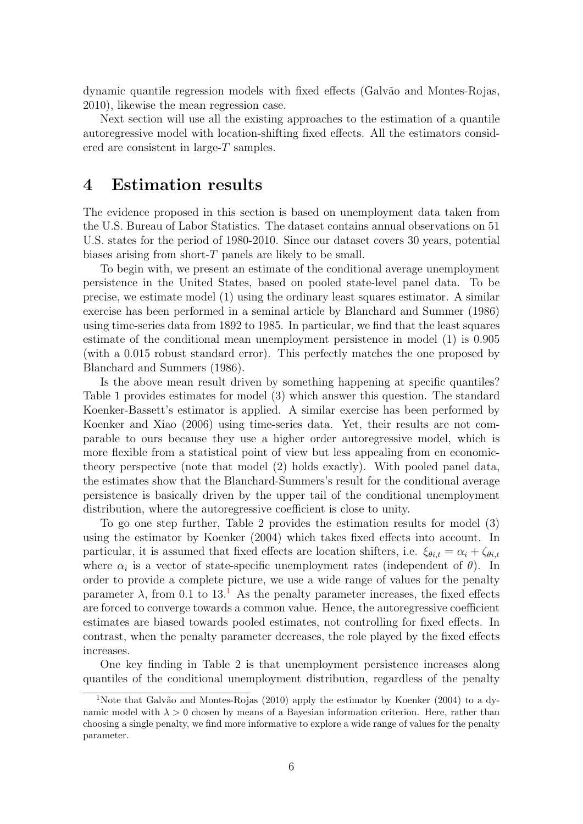dynamic quantile regression models with fixed effects (Galv˜ao and Montes-Rojas, 2010), likewise the mean regression case.

Next section will use all the existing approaches to the estimation of a quantile autoregressive model with location-shifting fixed effects. All the estimators considered are consistent in large-T samples.

#### 4 Estimation results

The evidence proposed in this section is based on unemployment data taken from the U.S. Bureau of Labor Statistics. The dataset contains annual observations on 51 U.S. states for the period of 1980-2010. Since our dataset covers 30 years, potential biases arising from short-T panels are likely to be small.

To begin with, we present an estimate of the conditional average unemployment persistence in the United States, based on pooled state-level panel data. To be precise, we estimate model (1) using the ordinary least squares estimator. A similar exercise has been performed in a seminal article by Blanchard and Summer (1986) using time-series data from 1892 to 1985. In particular, we find that the least squares estimate of the conditional mean unemployment persistence in model (1) is 0.905 (with a 0.015 robust standard error). This perfectly matches the one proposed by Blanchard and Summers (1986).

Is the above mean result driven by something happening at specific quantiles? Table 1 provides estimates for model (3) which answer this question. The standard Koenker-Bassett's estimator is applied. A similar exercise has been performed by Koenker and Xiao (2006) using time-series data. Yet, their results are not comparable to ours because they use a higher order autoregressive model, which is more flexible from a statistical point of view but less appealing from en economictheory perspective (note that model (2) holds exactly). With pooled panel data, the estimates show that the Blanchard-Summers's result for the conditional average persistence is basically driven by the upper tail of the conditional unemployment distribution, where the autoregressive coefficient is close to unity.

To go one step further, Table 2 provides the estimation results for model (3) using the estimator by Koenker (2004) which takes fixed effects into account. In particular, it is assumed that fixed effects are location shifters, i.e.  $\xi_{\theta i,t} = \alpha_i + \zeta_{\theta i,t}$ where  $\alpha_i$  is a vector of state-specific unemployment rates (independent of  $\theta$ ). In order to provide a complete picture, we use a wide range of values for the penalty parameter  $\lambda$ , from 0.[1](#page-8-0) to 13.<sup>1</sup> As the penalty parameter increases, the fixed effects are forced to converge towards a common value. Hence, the autoregressive coefficient estimates are biased towards pooled estimates, not controlling for fixed effects. In contrast, when the penalty parameter decreases, the role played by the fixed effects increases.

One key finding in Table 2 is that unemployment persistence increases along quantiles of the conditional unemployment distribution, regardless of the penalty

<span id="page-8-0"></span><sup>&</sup>lt;sup>1</sup>Note that Galvão and Montes-Rojas (2010) apply the estimator by Koenker (2004) to a dynamic model with  $\lambda > 0$  chosen by means of a Bayesian information criterion. Here, rather than choosing a single penalty, we find more informative to explore a wide range of values for the penalty parameter.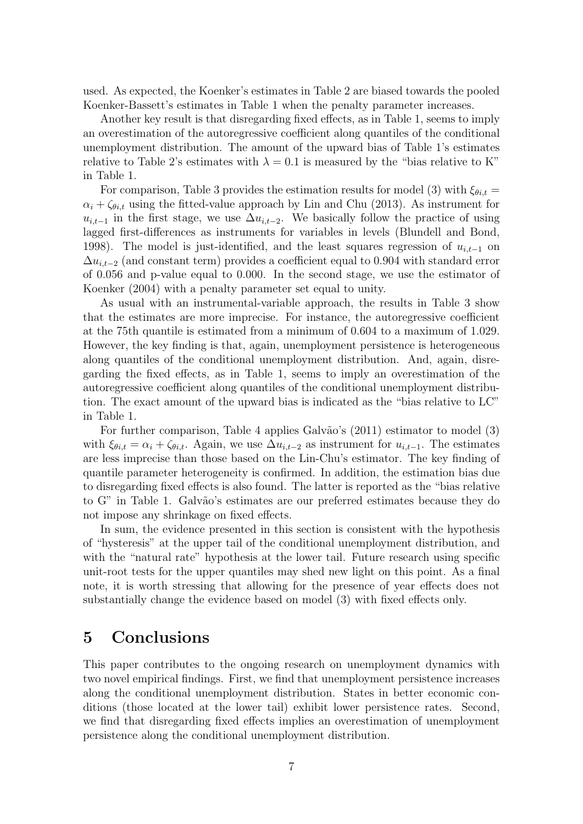used. As expected, the Koenker's estimates in Table 2 are biased towards the pooled Koenker-Bassett's estimates in Table 1 when the penalty parameter increases.

Another key result is that disregarding fixed effects, as in Table 1, seems to imply an overestimation of the autoregressive coefficient along quantiles of the conditional unemployment distribution. The amount of the upward bias of Table 1's estimates relative to Table 2's estimates with  $\lambda = 0.1$  is measured by the "bias relative to K" in Table 1.

For comparison, Table 3 provides the estimation results for model (3) with  $\xi_{\theta i,t} =$  $\alpha_i + \zeta_{\theta i,t}$  using the fitted-value approach by Lin and Chu (2013). As instrument for  $u_{i,t-1}$  in the first stage, we use  $\Delta u_{i,t-2}$ . We basically follow the practice of using lagged first-differences as instruments for variables in levels (Blundell and Bond, 1998). The model is just-identified, and the least squares regression of  $u_{i,t-1}$  on  $\Delta u_{i,t-2}$  (and constant term) provides a coefficient equal to 0.904 with standard error of 0.056 and p-value equal to 0.000. In the second stage, we use the estimator of Koenker (2004) with a penalty parameter set equal to unity.

As usual with an instrumental-variable approach, the results in Table 3 show that the estimates are more imprecise. For instance, the autoregressive coefficient at the 75th quantile is estimated from a minimum of 0.604 to a maximum of 1.029. However, the key finding is that, again, unemployment persistence is heterogeneous along quantiles of the conditional unemployment distribution. And, again, disregarding the fixed effects, as in Table 1, seems to imply an overestimation of the autoregressive coefficient along quantiles of the conditional unemployment distribution. The exact amount of the upward bias is indicated as the "bias relative to LC" in Table 1.

For further comparison, Table 4 applies Galvão's (2011) estimator to model (3) with  $\xi_{\theta i,t} = \alpha_i + \zeta_{\theta i,t}$ . Again, we use  $\Delta u_{i,t-2}$  as instrument for  $u_{i,t-1}$ . The estimates are less imprecise than those based on the Lin-Chu's estimator. The key finding of quantile parameter heterogeneity is confirmed. In addition, the estimation bias due to disregarding fixed effects is also found. The latter is reported as the "bias relative to G" in Table 1. Galvão's estimates are our preferred estimates because they do not impose any shrinkage on fixed effects.

In sum, the evidence presented in this section is consistent with the hypothesis of "hysteresis" at the upper tail of the conditional unemployment distribution, and with the "natural rate" hypothesis at the lower tail. Future research using specific unit-root tests for the upper quantiles may shed new light on this point. As a final note, it is worth stressing that allowing for the presence of year effects does not substantially change the evidence based on model (3) with fixed effects only.

#### 5 Conclusions

This paper contributes to the ongoing research on unemployment dynamics with two novel empirical findings. First, we find that unemployment persistence increases along the conditional unemployment distribution. States in better economic conditions (those located at the lower tail) exhibit lower persistence rates. Second, we find that disregarding fixed effects implies an overestimation of unemployment persistence along the conditional unemployment distribution.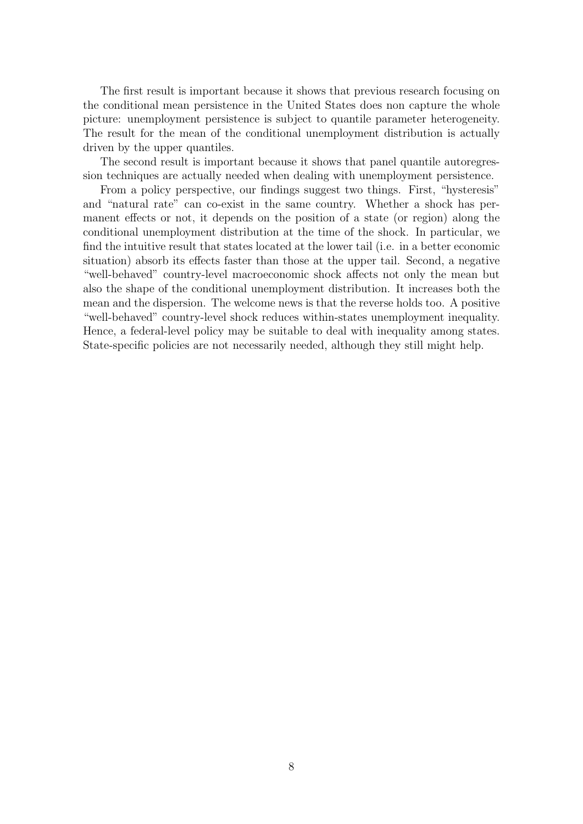The first result is important because it shows that previous research focusing on the conditional mean persistence in the United States does non capture the whole picture: unemployment persistence is subject to quantile parameter heterogeneity. The result for the mean of the conditional unemployment distribution is actually driven by the upper quantiles.

The second result is important because it shows that panel quantile autoregression techniques are actually needed when dealing with unemployment persistence.

From a policy perspective, our findings suggest two things. First, "hysteresis" and "natural rate" can co-exist in the same country. Whether a shock has permanent effects or not, it depends on the position of a state (or region) along the conditional unemployment distribution at the time of the shock. In particular, we find the intuitive result that states located at the lower tail (i.e. in a better economic situation) absorb its effects faster than those at the upper tail. Second, a negative "well-behaved" country-level macroeconomic shock affects not only the mean but also the shape of the conditional unemployment distribution. It increases both the mean and the dispersion. The welcome news is that the reverse holds too. A positive "well-behaved" country-level shock reduces within-states unemployment inequality. Hence, a federal-level policy may be suitable to deal with inequality among states. State-specific policies are not necessarily needed, although they still might help.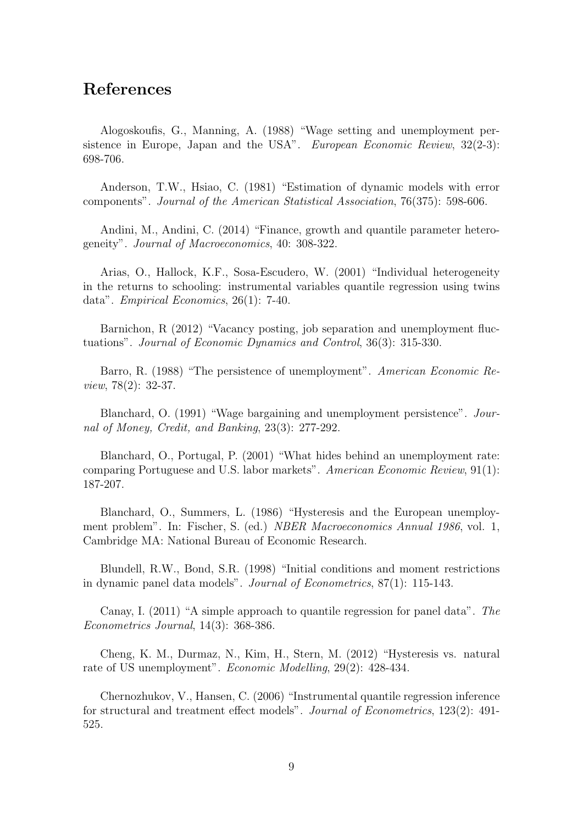## References

Alogoskoufis, G., Manning, A. (1988) "Wage setting and unemployment persistence in Europe, Japan and the USA". European Economic Review, 32(2-3): 698-706.

Anderson, T.W., Hsiao, C. (1981) "Estimation of dynamic models with error components". Journal of the American Statistical Association, 76(375): 598-606.

Andini, M., Andini, C. (2014) "Finance, growth and quantile parameter heterogeneity". Journal of Macroeconomics, 40: 308-322.

Arias, O., Hallock, K.F., Sosa-Escudero, W. (2001) "Individual heterogeneity in the returns to schooling: instrumental variables quantile regression using twins data". Empirical Economics, 26(1): 7-40.

Barnichon, R (2012) "Vacancy posting, job separation and unemployment fluctuations". Journal of Economic Dynamics and Control, 36(3): 315-330.

Barro, R. (1988) "The persistence of unemployment". American Economic Review, 78(2): 32-37.

Blanchard, O. (1991) "Wage bargaining and unemployment persistence". Journal of Money, Credit, and Banking, 23(3): 277-292.

Blanchard, O., Portugal, P. (2001) "What hides behind an unemployment rate: comparing Portuguese and U.S. labor markets". American Economic Review, 91(1): 187-207.

Blanchard, O., Summers, L. (1986) "Hysteresis and the European unemployment problem". In: Fischer, S. (ed.) NBER Macroeconomics Annual 1986, vol. 1, Cambridge MA: National Bureau of Economic Research.

Blundell, R.W., Bond, S.R. (1998) "Initial conditions and moment restrictions in dynamic panel data models". Journal of Econometrics, 87(1): 115-143.

Canay, I. (2011) "A simple approach to quantile regression for panel data". The Econometrics Journal, 14(3): 368-386.

Cheng, K. M., Durmaz, N., Kim, H., Stern, M. (2012) "Hysteresis vs. natural rate of US unemployment". Economic Modelling, 29(2): 428-434.

Chernozhukov, V., Hansen, C. (2006) "Instrumental quantile regression inference for structural and treatment effect models". Journal of Econometrics, 123(2): 491- 525.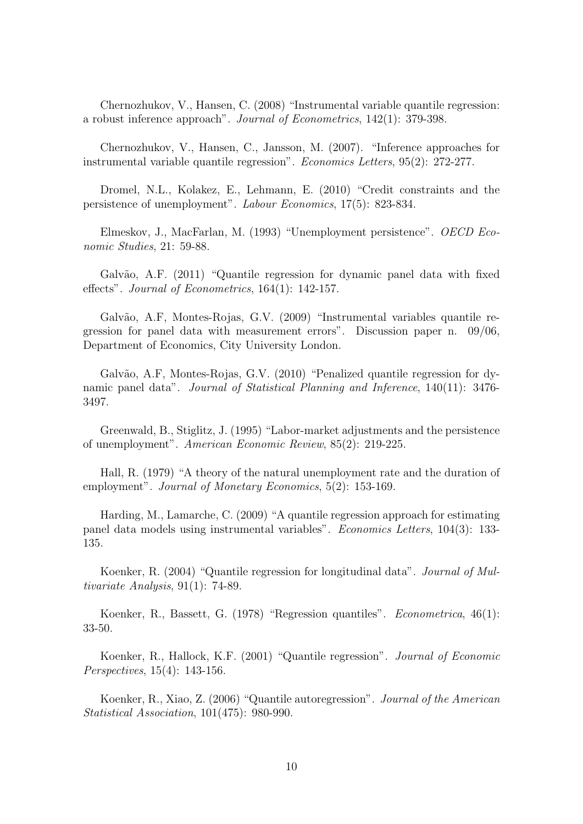Chernozhukov, V., Hansen, C. (2008) "Instrumental variable quantile regression: a robust inference approach". Journal of Econometrics, 142(1): 379-398.

Chernozhukov, V., Hansen, C., Jansson, M. (2007). "Inference approaches for instrumental variable quantile regression". Economics Letters, 95(2): 272-277.

Dromel, N.L., Kolakez, E., Lehmann, E. (2010) "Credit constraints and the persistence of unemployment". Labour Economics, 17(5): 823-834.

Elmeskov, J., MacFarlan, M. (1993) "Unemployment persistence". OECD Economic Studies, 21: 59-88.

Galvão, A.F. (2011) "Quantile regression for dynamic panel data with fixed effects". Journal of Econometrics, 164(1): 142-157.

Galvão, A.F, Montes-Rojas, G.V. (2009) "Instrumental variables quantile regression for panel data with measurement errors". Discussion paper n. 09/06, Department of Economics, City University London.

Galvão, A.F, Montes-Rojas, G.V. (2010) "Penalized quantile regression for dynamic panel data". Journal of Statistical Planning and Inference, 140(11): 3476-3497.

Greenwald, B., Stiglitz, J. (1995) "Labor-market adjustments and the persistence of unemployment". American Economic Review, 85(2): 219-225.

Hall, R. (1979) "A theory of the natural unemployment rate and the duration of employment". Journal of Monetary Economics, 5(2): 153-169.

Harding, M., Lamarche, C. (2009) "A quantile regression approach for estimating panel data models using instrumental variables". Economics Letters, 104(3): 133- 135.

Koenker, R. (2004) "Quantile regression for longitudinal data". Journal of Multivariate Analysis, 91(1): 74-89.

Koenker, R., Bassett, G. (1978) "Regression quantiles". Econometrica, 46(1): 33-50.

Koenker, R., Hallock, K.F. (2001) "Quantile regression". Journal of Economic Perspectives, 15(4): 143-156.

Koenker, R., Xiao, Z. (2006) "Quantile autoregression". Journal of the American Statistical Association, 101(475): 980-990.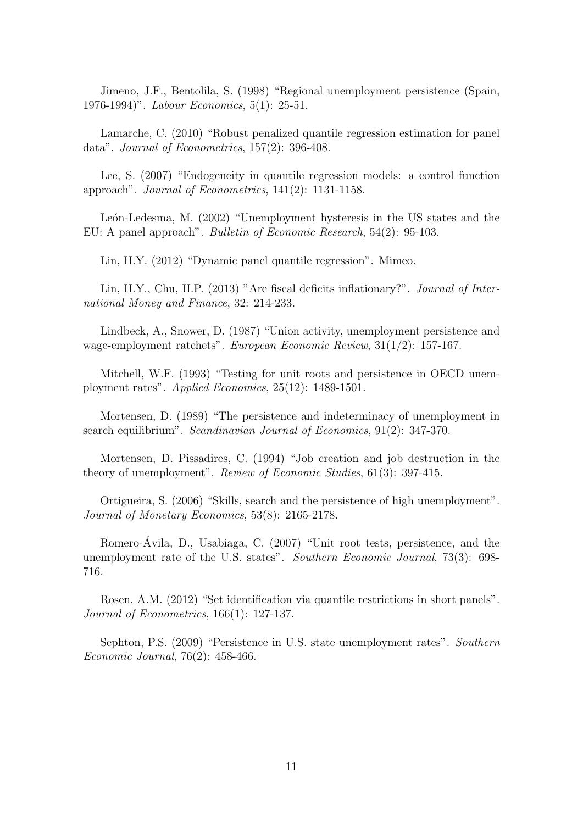Jimeno, J.F., Bentolila, S. (1998) "Regional unemployment persistence (Spain, 1976-1994)". Labour Economics, 5(1): 25-51.

Lamarche, C. (2010) "Robust penalized quantile regression estimation for panel data". Journal of Econometrics, 157(2): 396-408.

Lee, S. (2007) "Endogeneity in quantile regression models: a control function approach". Journal of Econometrics, 141(2): 1131-1158.

León-Ledesma, M. (2002) "Unemployment hysteresis in the US states and the EU: A panel approach". Bulletin of Economic Research, 54(2): 95-103.

Lin, H.Y. (2012) "Dynamic panel quantile regression". Mimeo.

Lin, H.Y., Chu, H.P. (2013) "Are fiscal deficits inflationary?". Journal of International Money and Finance, 32: 214-233.

Lindbeck, A., Snower, D. (1987) "Union activity, unemployment persistence and wage-employment ratchets". European Economic Review, 31(1/2): 157-167.

Mitchell, W.F. (1993) "Testing for unit roots and persistence in OECD unemployment rates". Applied Economics, 25(12): 1489-1501.

Mortensen, D. (1989) "The persistence and indeterminacy of unemployment in search equilibrium". Scandinavian Journal of Economics, 91(2): 347-370.

Mortensen, D. Pissadires, C. (1994) "Job creation and job destruction in the theory of unemployment". Review of Economic Studies, 61(3): 397-415.

Ortigueira, S. (2006) "Skills, search and the persistence of high unemployment". Journal of Monetary Economics, 53(8): 2165-2178.

Romero-Avila, D., Usabiaga, C. (2007) "Unit root tests, persistence, and the ´ unemployment rate of the U.S. states". Southern Economic Journal, 73(3): 698- 716.

Rosen, A.M. (2012) "Set identification via quantile restrictions in short panels". Journal of Econometrics, 166(1): 127-137.

Sephton, P.S. (2009) "Persistence in U.S. state unemployment rates". Southern Economic Journal, 76(2): 458-466.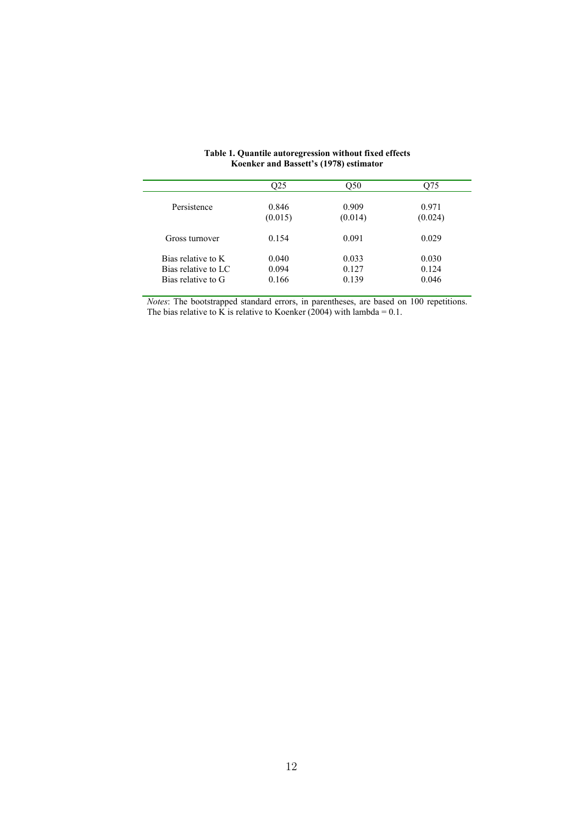|                     | O25     | O50     | 075     |
|---------------------|---------|---------|---------|
| Persistence         | 0.846   | 0.909   | 0.971   |
|                     | (0.015) | (0.014) | (0.024) |
| Gross turnover      | 0.154   | 0.091   | 0.029   |
| Bias relative to K  | 0.040   | 0.033   | 0.030   |
| Bias relative to LC | 0.094   | 0.127   | 0.124   |
| Bias relative to G  | 0.166   | 0.139   | 0.046   |

#### **Table 1. Quantile autoregression without fixed effects Koenker and Bassett's (1978) estimator**

*Notes*: The bootstrapped standard errors, in parentheses, are based on 100 repetitions. The bias relative to K is relative to Koenker (2004) with lambda =  $0.1$ .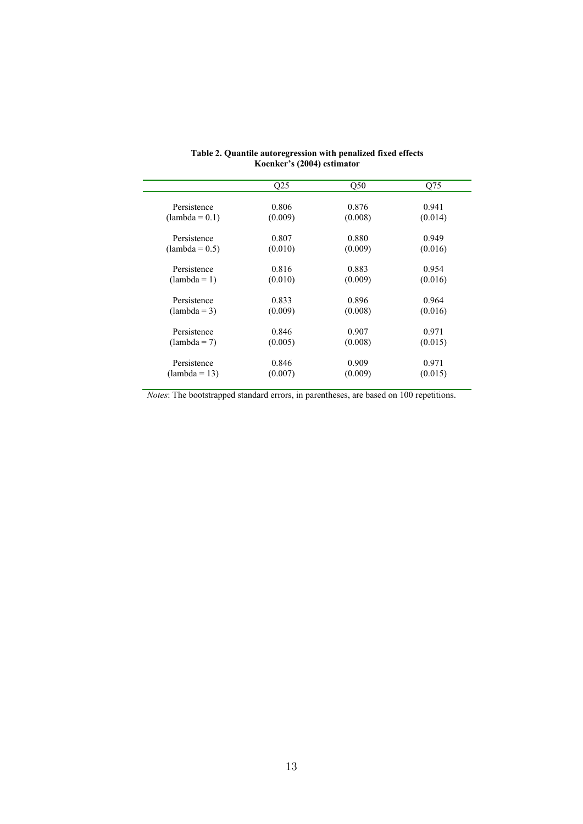|                  | Q25     | Q50     | Q75     |
|------------------|---------|---------|---------|
| Persistence      | 0.806   | 0.876   | 0.941   |
| $(lambda = 0.1)$ | (0.009) | (0.008) | (0.014) |
| Persistence      | 0.807   | 0.880   | 0.949   |
| $(lambda = 0.5)$ | (0.010) | (0.009) | (0.016) |
| Persistence      | 0.816   | 0.883   | 0.954   |
| $(lambda = 1)$   | (0.010) | (0.009) | (0.016) |
| Persistence      | 0.833   | 0.896   | 0.964   |
| $(lambda = 3)$   | (0.009) | (0.008) | (0.016) |
| Persistence      | 0.846   | 0.907   | 0.971   |
| $(lambda = 7)$   | (0.005) | (0.008) | (0.015) |
| Persistence      | 0.846   | 0.909   | 0.971   |
| $(lambda = 13)$  | (0.007) | (0.009) | (0.015) |

| Table 2. Quantile autoregression with penalized fixed effects |  |  |  |  |
|---------------------------------------------------------------|--|--|--|--|
| Koenker's (2004) estimator                                    |  |  |  |  |

*Notes*: The bootstrapped standard errors, in parentheses, are based on 100 repetitions.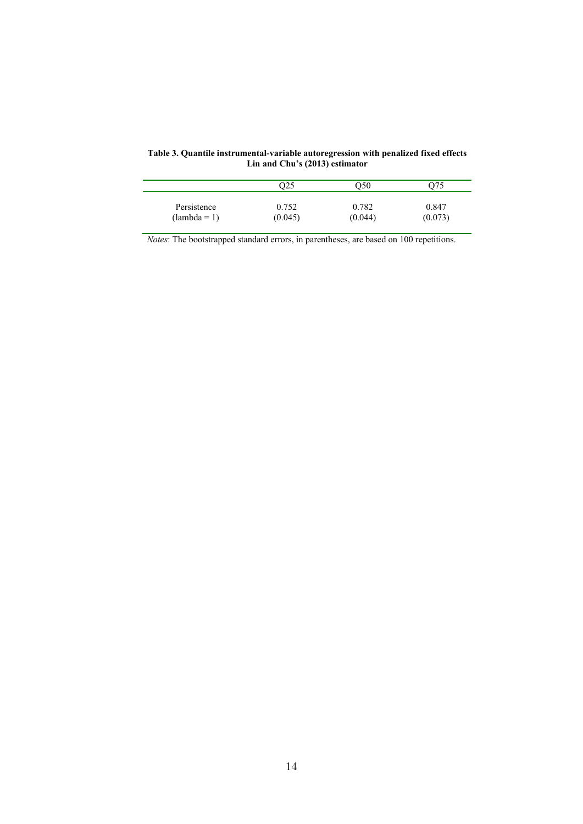|                | 025     | O50     |         |
|----------------|---------|---------|---------|
| Persistence    | 0.752   | 0.782   | 0.847   |
| $(lambda = 1)$ | (0.045) | (0.044) | (0.073) |

**Table 3. Quantile instrumental-variable autoregression with penalized fixed effects Lin and Chu's (2013) estimator** 

*Notes*: The bootstrapped standard errors, in parentheses, are based on 100 repetitions.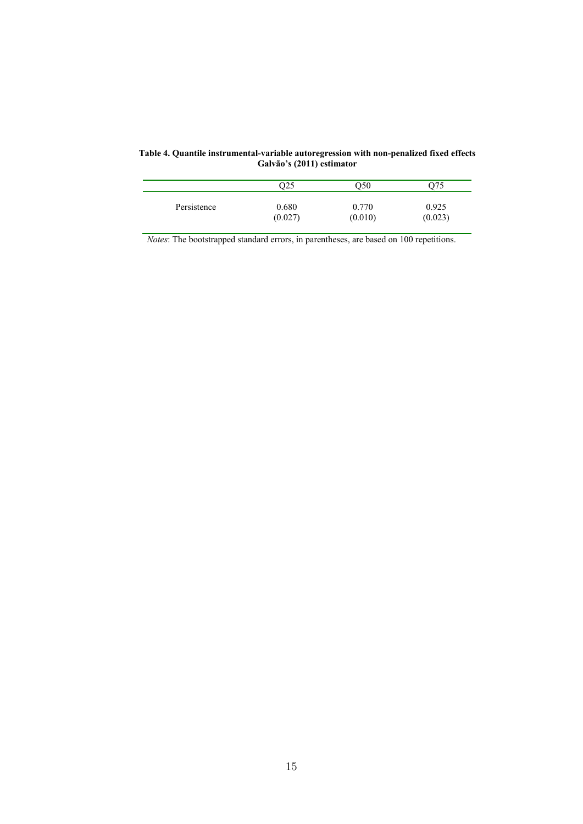|             | O25     | )50     | 975     |
|-------------|---------|---------|---------|
| Persistence | 0.680   | 0.770   | 0.925   |
|             | (0.027) | (0.010) | (0.023) |

**Table 4. Quantile instrumental-variable autoregression with non-penalized fixed effects Galvão's (2011) estimator** 

*Notes*: The bootstrapped standard errors, in parentheses, are based on 100 repetitions.